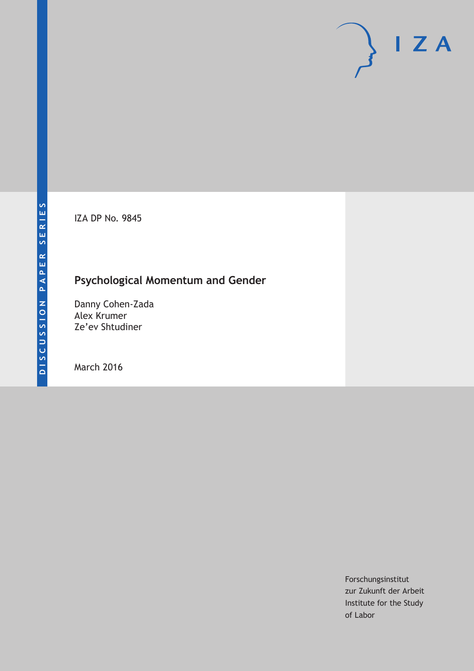IZA DP No. 9845

# **Psychological Momentum and Gender**

Danny Cohen-Zada Alex Krumer Ze'ev Shtudiner

March 2016

Forschungsinstitut zur Zukunft der Arbeit Institute for the Study of Labor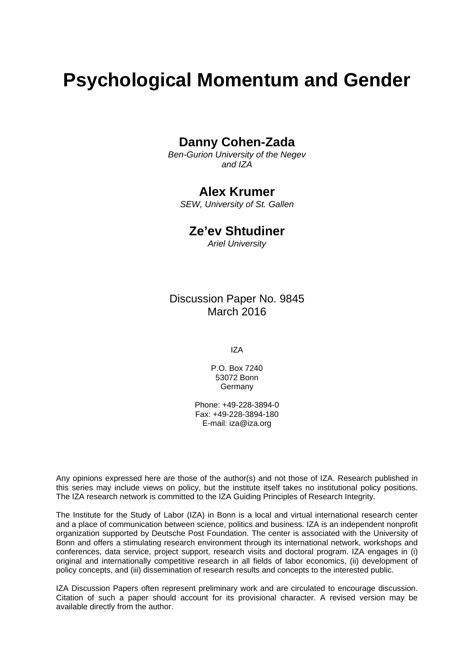# **Psychological Momentum and Gender**

## **Danny Cohen-Zada**

*Ben-Gurion University of the Negev and IZA* 

# **Alex Krumer**

*SEW, University of St. Gallen* 

## **Ze'ev Shtudiner**

*Ariel University*

## Discussion Paper No. 9845 March 2016

IZA

P.O. Box 7240 53072 Bonn **Germany** 

Phone: +49-228-3894-0 Fax: +49-228-3894-180 E-mail: iza@iza.org

Any opinions expressed here are those of the author(s) and not those of IZA. Research published in this series may include views on policy, but the institute itself takes no institutional policy positions. The IZA research network is committed to the IZA Guiding Principles of Research Integrity.

The Institute for the Study of Labor (IZA) in Bonn is a local and virtual international research center and a place of communication between science, politics and business. IZA is an independent nonprofit organization supported by Deutsche Post Foundation. The center is associated with the University of Bonn and offers a stimulating research environment through its international network, workshops and conferences, data service, project support, research visits and doctoral program. IZA engages in (i) original and internationally competitive research in all fields of labor economics, (ii) development of policy concepts, and (iii) dissemination of research results and concepts to the interested public.

IZA Discussion Papers often represent preliminary work and are circulated to encourage discussion. Citation of such a paper should account for its provisional character. A revised version may be available directly from the author.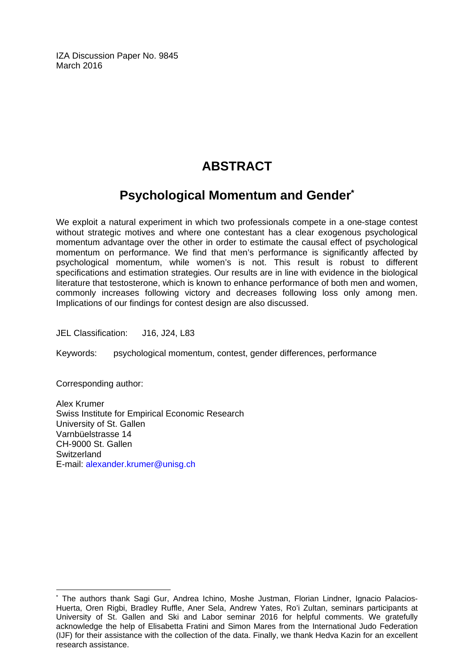IZA Discussion Paper No. 9845 March 2016

# **ABSTRACT**

# **Psychological Momentum and Gender\***

We exploit a natural experiment in which two professionals compete in a one-stage contest without strategic motives and where one contestant has a clear exogenous psychological momentum advantage over the other in order to estimate the causal effect of psychological momentum on performance. We find that men's performance is significantly affected by psychological momentum, while women's is not. This result is robust to different specifications and estimation strategies. Our results are in line with evidence in the biological literature that testosterone, which is known to enhance performance of both men and women, commonly increases following victory and decreases following loss only among men. Implications of our findings for contest design are also discussed.

JEL Classification: J16, J24, L83

Keywords: psychological momentum, contest, gender differences, performance

Corresponding author:

 $\overline{a}$ 

Alex Krumer Swiss Institute for Empirical Economic Research University of St. Gallen Varnbüelstrasse 14 CH-9000 St. Gallen **Switzerland** E-mail: alexander.krumer@unisg.ch

<sup>\*</sup> The authors thank Sagi Gur, Andrea Ichino, Moshe Justman, Florian Lindner, Ignacio Palacios-Huerta, Oren Rigbi, Bradley Ruffle, Aner Sela, Andrew Yates, Ro'i Zultan, seminars participants at University of St. Gallen and Ski and Labor seminar 2016 for helpful comments. We gratefully acknowledge the help of Elisabetta Fratini and Simon Mares from the International Judo Federation (IJF) for their assistance with the collection of the data. Finally, we thank Hedva Kazin for an excellent research assistance.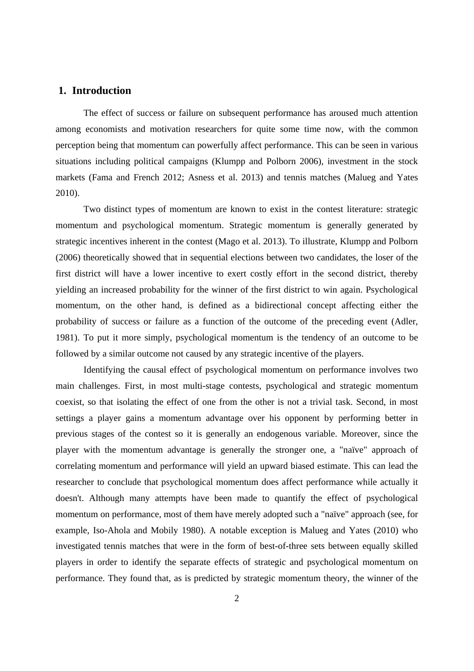#### **1. Introduction**

The effect of success or failure on subsequent performance has aroused much attention among economists and motivation researchers for quite some time now, with the common perception being that momentum can powerfully affect performance. This can be seen in various situations including political campaigns (Klumpp and Polborn 2006), investment in the stock markets (Fama and French 2012; Asness et al. 2013) and tennis matches (Malueg and Yates 2010).

Two distinct types of momentum are known to exist in the contest literature: strategic momentum and psychological momentum. Strategic momentum is generally generated by strategic incentives inherent in the contest (Mago et al. 2013). To illustrate, Klumpp and Polborn (2006) theoretically showed that in sequential elections between two candidates, the loser of the first district will have a lower incentive to exert costly effort in the second district, thereby yielding an increased probability for the winner of the first district to win again. Psychological momentum, on the other hand, is defined as a bidirectional concept affecting either the probability of success or failure as a function of the outcome of the preceding event (Adler, 1981). To put it more simply, psychological momentum is the tendency of an outcome to be followed by a similar outcome not caused by any strategic incentive of the players.

Identifying the causal effect of psychological momentum on performance involves two main challenges. First, in most multi-stage contests, psychological and strategic momentum coexist, so that isolating the effect of one from the other is not a trivial task. Second, in most settings a player gains a momentum advantage over his opponent by performing better in previous stages of the contest so it is generally an endogenous variable. Moreover, since the player with the momentum advantage is generally the stronger one, a "naïve" approach of correlating momentum and performance will yield an upward biased estimate. This can lead the researcher to conclude that psychological momentum does affect performance while actually it doesn't. Although many attempts have been made to quantify the effect of psychological momentum on performance, most of them have merely adopted such a "naïve" approach (see, for example, Iso-Ahola and Mobily 1980). A notable exception is Malueg and Yates (2010) who investigated tennis matches that were in the form of best-of-three sets between equally skilled players in order to identify the separate effects of strategic and psychological momentum on performance. They found that, as is predicted by strategic momentum theory, the winner of the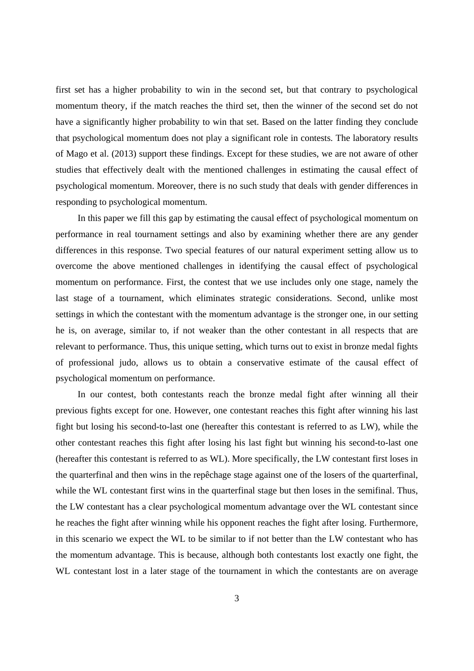first set has a higher probability to win in the second set, but that contrary to psychological momentum theory, if the match reaches the third set, then the winner of the second set do not have a significantly higher probability to win that set. Based on the latter finding they conclude that psychological momentum does not play a significant role in contests. The laboratory results of Mago et al. (2013) support these findings. Except for these studies, we are not aware of other studies that effectively dealt with the mentioned challenges in estimating the causal effect of psychological momentum. Moreover, there is no such study that deals with gender differences in responding to psychological momentum.

In this paper we fill this gap by estimating the causal effect of psychological momentum on performance in real tournament settings and also by examining whether there are any gender differences in this response. Two special features of our natural experiment setting allow us to overcome the above mentioned challenges in identifying the causal effect of psychological momentum on performance. First, the contest that we use includes only one stage, namely the last stage of a tournament, which eliminates strategic considerations. Second, unlike most settings in which the contestant with the momentum advantage is the stronger one, in our setting he is, on average, similar to, if not weaker than the other contestant in all respects that are relevant to performance. Thus, this unique setting, which turns out to exist in bronze medal fights of professional judo, allows us to obtain a conservative estimate of the causal effect of psychological momentum on performance.

In our contest, both contestants reach the bronze medal fight after winning all their previous fights except for one. However, one contestant reaches this fight after winning his last fight but losing his second-to-last one (hereafter this contestant is referred to as LW), while the other contestant reaches this fight after losing his last fight but winning his second-to-last one (hereafter this contestant is referred to as WL). More specifically, the LW contestant first loses in the quarterfinal and then wins in the repêchage stage against one of the losers of the quarterfinal, while the WL contestant first wins in the quarterfinal stage but then loses in the semifinal. Thus, the LW contestant has a clear psychological momentum advantage over the WL contestant since he reaches the fight after winning while his opponent reaches the fight after losing. Furthermore, in this scenario we expect the WL to be similar to if not better than the LW contestant who has the momentum advantage. This is because, although both contestants lost exactly one fight, the WL contestant lost in a later stage of the tournament in which the contestants are on average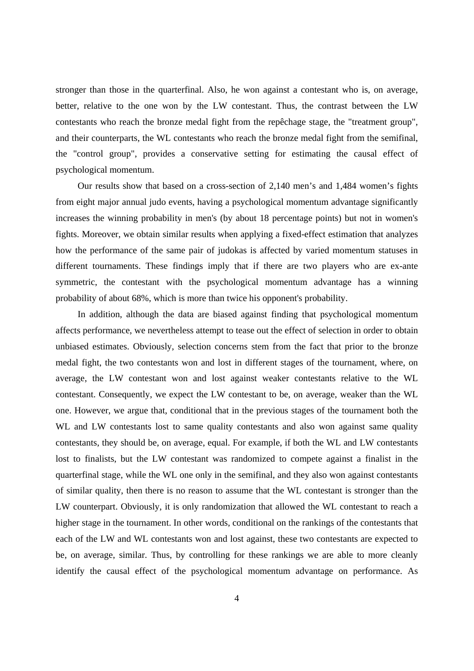stronger than those in the quarterfinal. Also, he won against a contestant who is, on average, better, relative to the one won by the LW contestant. Thus, the contrast between the LW contestants who reach the bronze medal fight from the repêchage stage, the "treatment group", and their counterparts, the WL contestants who reach the bronze medal fight from the semifinal, the "control group", provides a conservative setting for estimating the causal effect of psychological momentum.

Our results show that based on a cross-section of 2,140 men's and 1,484 women's fights from eight major annual judo events, having a psychological momentum advantage significantly increases the winning probability in men's (by about 18 percentage points) but not in women's fights. Moreover, we obtain similar results when applying a fixed-effect estimation that analyzes how the performance of the same pair of judokas is affected by varied momentum statuses in different tournaments. These findings imply that if there are two players who are ex-ante symmetric, the contestant with the psychological momentum advantage has a winning probability of about 68%, which is more than twice his opponent's probability.

In addition, although the data are biased against finding that psychological momentum affects performance, we nevertheless attempt to tease out the effect of selection in order to obtain unbiased estimates. Obviously, selection concerns stem from the fact that prior to the bronze medal fight, the two contestants won and lost in different stages of the tournament, where, on average, the LW contestant won and lost against weaker contestants relative to the WL contestant. Consequently, we expect the LW contestant to be, on average, weaker than the WL one. However, we argue that, conditional that in the previous stages of the tournament both the WL and LW contestants lost to same quality contestants and also won against same quality contestants, they should be, on average, equal. For example, if both the WL and LW contestants lost to finalists, but the LW contestant was randomized to compete against a finalist in the quarterfinal stage, while the WL one only in the semifinal, and they also won against contestants of similar quality, then there is no reason to assume that the WL contestant is stronger than the LW counterpart. Obviously, it is only randomization that allowed the WL contestant to reach a higher stage in the tournament. In other words, conditional on the rankings of the contestants that each of the LW and WL contestants won and lost against, these two contestants are expected to be, on average, similar. Thus, by controlling for these rankings we are able to more cleanly identify the causal effect of the psychological momentum advantage on performance. As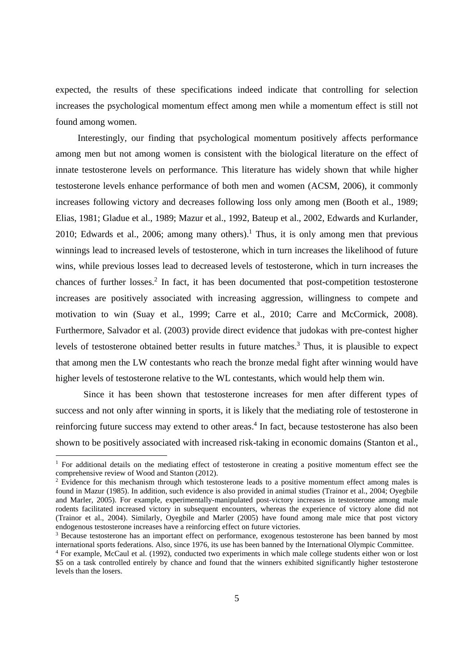expected, the results of these specifications indeed indicate that controlling for selection increases the psychological momentum effect among men while a momentum effect is still not found among women.

Interestingly, our finding that psychological momentum positively affects performance among men but not among women is consistent with the biological literature on the effect of innate testosterone levels on performance. This literature has widely shown that while higher testosterone levels enhance performance of both men and women (ACSM, 2006), it commonly increases following victory and decreases following loss only among men (Booth et al., 1989; Elias, 1981; Gladue et al., 1989; Mazur et al., 1992, Bateup et al., 2002, Edwards and Kurlander, 2010; Edwards et al., 2006; among many others).<sup>1</sup> Thus, it is only among men that previous winnings lead to increased levels of testosterone, which in turn increases the likelihood of future wins, while previous losses lead to decreased levels of testosterone, which in turn increases the chances of further losses.<sup>2</sup> In fact, it has been documented that post-competition testosterone increases are positively associated with increasing aggression, willingness to compete and motivation to win (Suay et al., 1999; Carre et al., 2010; Carre and McCormick, 2008). Furthermore, Salvador et al. (2003) provide direct evidence that judokas with pre-contest higher levels of testosterone obtained better results in future matches.<sup>3</sup> Thus, it is plausible to expect that among men the LW contestants who reach the bronze medal fight after winning would have higher levels of testosterone relative to the WL contestants, which would help them win.

Since it has been shown that testosterone increases for men after different types of success and not only after winning in sports, it is likely that the mediating role of testosterone in reinforcing future success may extend to other areas.<sup>4</sup> In fact, because testosterone has also been shown to be positively associated with increased risk-taking in economic domains (Stanton et al.,

<sup>&</sup>lt;sup>1</sup> For additional details on the mediating effect of testosterone in creating a positive momentum effect see the comprehensive review of Wood and Stanton (2012).

<sup>&</sup>lt;sup>2</sup> Evidence for this mechanism through which testosterone leads to a positive momentum effect among males is found in Mazur (1985). In addition, such evidence is also provided in animal studies (Trainor et al., 2004; Oyegbile and Marler, 2005). For example, experimentally-manipulated post-victory increases in testosterone among male rodents facilitated increased victory in subsequent encounters, whereas the experience of victory alone did not (Trainor et al., 2004). Similarly, Oyegbile and Marler (2005) have found among male mice that post victory endogenous testosterone increases have a reinforcing effect on future victories.

<sup>&</sup>lt;sup>3</sup> Because testosterone has an important effect on performance, exogenous testosterone has been banned by most international sports federations. Also, since 1976, its use has been banned by the International Olympic Committee.

<sup>4</sup> For example, McCaul et al. (1992), conducted two experiments in which male college students either won or lost \$5 on a task controlled entirely by chance and found that the winners exhibited significantly higher testosterone levels than the losers.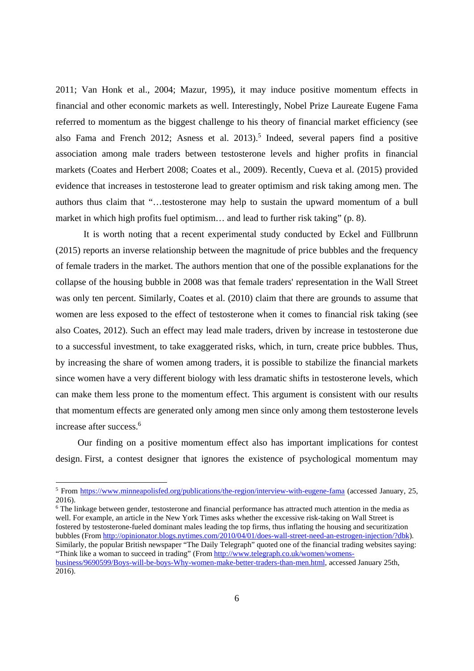2011; Van Honk et al., 2004; Mazur, 1995), it may induce positive momentum effects in financial and other economic markets as well. Interestingly, Nobel Prize Laureate Eugene Fama referred to momentum as the biggest challenge to his theory of financial market efficiency (see also Fama and French 2012; Asness et al.  $2013$ <sup>5</sup> Indeed, several papers find a positive association among male traders between testosterone levels and higher profits in financial markets (Coates and Herbert 2008; Coates et al., 2009). Recently, Cueva et al. (2015) provided evidence that increases in testosterone lead to greater optimism and risk taking among men. The authors thus claim that "…testosterone may help to sustain the upward momentum of a bull market in which high profits fuel optimism… and lead to further risk taking" (p. 8).

It is worth noting that a recent experimental study conducted by Eckel and Füllbrunn (2015) reports an inverse relationship between the magnitude of price bubbles and the frequency of female traders in the market. The authors mention that one of the possible explanations for the collapse of the housing bubble in 2008 was that female traders' representation in the Wall Street was only ten percent. Similarly, Coates et al. (2010) claim that there are grounds to assume that women are less exposed to the effect of testosterone when it comes to financial risk taking (see also Coates, 2012). Such an effect may lead male traders, driven by increase in testosterone due to a successful investment, to take exaggerated risks, which, in turn, create price bubbles. Thus, by increasing the share of women among traders, it is possible to stabilize the financial markets since women have a very different biology with less dramatic shifts in testosterone levels, which can make them less prone to the momentum effect. This argument is consistent with our results that momentum effects are generated only among men since only among them testosterone levels increase after success.<sup>6</sup>

Our finding on a positive momentum effect also has important implications for contest design. First, a contest designer that ignores the existence of psychological momentum may

-

<sup>6</sup> The linkage between gender, testosterone and financial performance has attracted much attention in the media as well. For example, an article in the New York Times asks whether the excessive risk-taking on Wall Street is fostered by testosterone-fueled dominant males leading the top firms, thus inflating the housing and securitization bubbles (From http://opinionator.blogs.nytimes.com/2010/04/01/does-wall-street-need-an-estrogen-injection/?dbk). Similarly, the popular British newspaper "The Daily Telegraph" quoted one of the financial trading websites saying: "Think like a woman to succeed in trading" (From http://www.telegraph.co.uk/women/womensbusiness/9690599/Boys-will-be-boys-Why-women-make-better-traders-than-men.html, accessed January 25th, 2016).

<sup>&</sup>lt;sup>5</sup> From https://www.minneapolisfed.org/publications/the-region/interview-with-eugene-fama (accessed January, 25, 2016).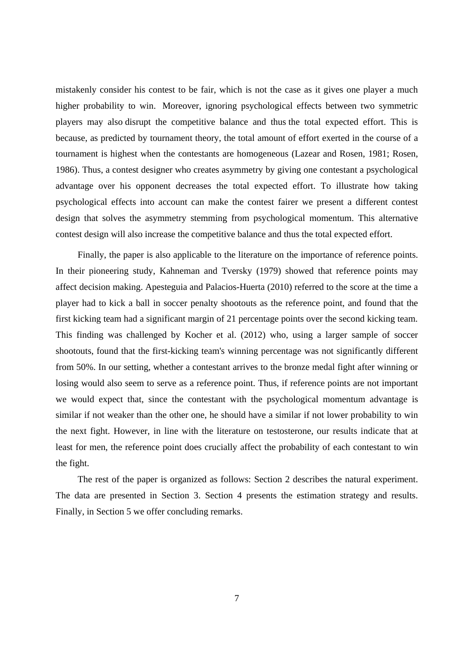mistakenly consider his contest to be fair, which is not the case as it gives one player a much higher probability to win. Moreover, ignoring psychological effects between two symmetric players may also disrupt the competitive balance and thus the total expected effort. This is because, as predicted by tournament theory, the total amount of effort exerted in the course of a tournament is highest when the contestants are homogeneous (Lazear and Rosen, 1981; Rosen, 1986). Thus, a contest designer who creates asymmetry by giving one contestant a psychological advantage over his opponent decreases the total expected effort. To illustrate how taking psychological effects into account can make the contest fairer we present a different contest design that solves the asymmetry stemming from psychological momentum. This alternative contest design will also increase the competitive balance and thus the total expected effort.

Finally, the paper is also applicable to the literature on the importance of reference points. In their pioneering study, Kahneman and Tversky (1979) showed that reference points may affect decision making. Apesteguia and Palacios-Huerta (2010) referred to the score at the time a player had to kick a ball in soccer penalty shootouts as the reference point, and found that the first kicking team had a significant margin of 21 percentage points over the second kicking team. This finding was challenged by Kocher et al. (2012) who, using a larger sample of soccer shootouts, found that the first-kicking team's winning percentage was not significantly different from 50%. In our setting, whether a contestant arrives to the bronze medal fight after winning or losing would also seem to serve as a reference point. Thus, if reference points are not important we would expect that, since the contestant with the psychological momentum advantage is similar if not weaker than the other one, he should have a similar if not lower probability to win the next fight. However, in line with the literature on testosterone, our results indicate that at least for men, the reference point does crucially affect the probability of each contestant to win the fight.

The rest of the paper is organized as follows: Section 2 describes the natural experiment. The data are presented in Section 3. Section 4 presents the estimation strategy and results. Finally, in Section 5 we offer concluding remarks.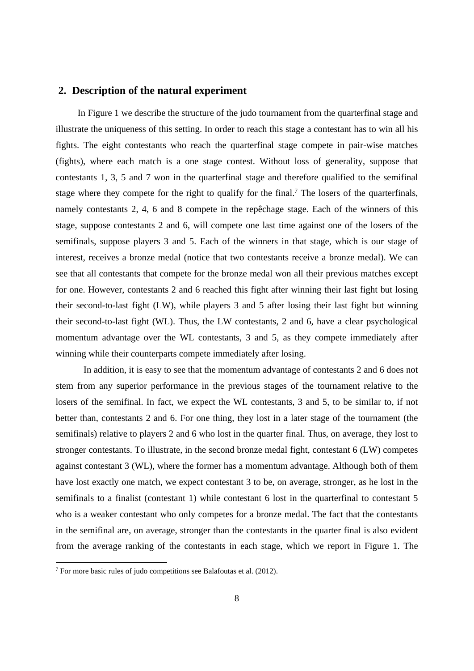#### **2. Description of the natural experiment**

In Figure 1 we describe the structure of the judo tournament from the quarterfinal stage and illustrate the uniqueness of this setting. In order to reach this stage a contestant has to win all his fights. The eight contestants who reach the quarterfinal stage compete in pair-wise matches (fights), where each match is a one stage contest. Without loss of generality, suppose that contestants 1, 3, 5 and 7 won in the quarterfinal stage and therefore qualified to the semifinal stage where they compete for the right to qualify for the final.<sup>7</sup> The losers of the quarterfinals, namely contestants 2, 4, 6 and 8 compete in the repêchage stage. Each of the winners of this stage, suppose contestants 2 and 6, will compete one last time against one of the losers of the semifinals, suppose players 3 and 5. Each of the winners in that stage, which is our stage of interest, receives a bronze medal (notice that two contestants receive a bronze medal). We can see that all contestants that compete for the bronze medal won all their previous matches except for one. However, contestants 2 and 6 reached this fight after winning their last fight but losing their second-to-last fight (LW), while players 3 and 5 after losing their last fight but winning their second-to-last fight (WL). Thus, the LW contestants, 2 and 6, have a clear psychological momentum advantage over the WL contestants, 3 and 5, as they compete immediately after winning while their counterparts compete immediately after losing.

 In addition, it is easy to see that the momentum advantage of contestants 2 and 6 does not stem from any superior performance in the previous stages of the tournament relative to the losers of the semifinal. In fact, we expect the WL contestants, 3 and 5, to be similar to, if not better than, contestants 2 and 6. For one thing, they lost in a later stage of the tournament (the semifinals) relative to players 2 and 6 who lost in the quarter final. Thus, on average, they lost to stronger contestants. To illustrate, in the second bronze medal fight, contestant 6 (LW) competes against contestant 3 (WL), where the former has a momentum advantage. Although both of them have lost exactly one match, we expect contestant 3 to be, on average, stronger, as he lost in the semifinals to a finalist (contestant 1) while contestant 6 lost in the quarterfinal to contestant 5 who is a weaker contestant who only competes for a bronze medal. The fact that the contestants in the semifinal are, on average, stronger than the contestants in the quarter final is also evident from the average ranking of the contestants in each stage, which we report in Figure 1. The

 $7$  For more basic rules of judo competitions see Balafoutas et al. (2012).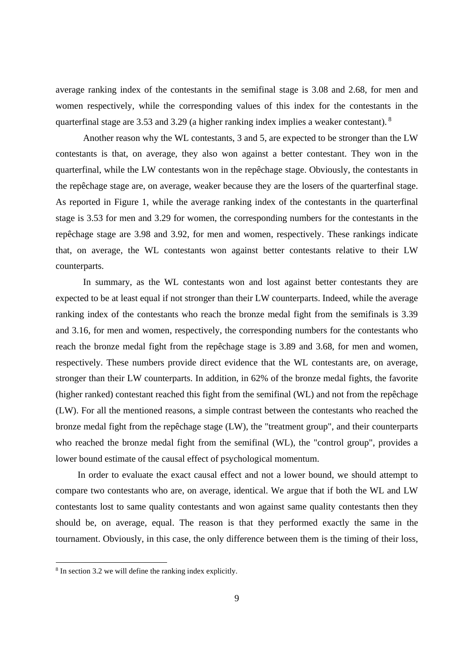average ranking index of the contestants in the semifinal stage is 3.08 and 2.68, for men and women respectively, while the corresponding values of this index for the contestants in the quarterfinal stage are 3.53 and 3.29 (a higher ranking index implies a weaker contestant). 8

Another reason why the WL contestants, 3 and 5, are expected to be stronger than the LW contestants is that, on average, they also won against a better contestant. They won in the quarterfinal, while the LW contestants won in the repêchage stage. Obviously, the contestants in the repêchage stage are, on average, weaker because they are the losers of the quarterfinal stage. As reported in Figure 1, while the average ranking index of the contestants in the quarterfinal stage is 3.53 for men and 3.29 for women, the corresponding numbers for the contestants in the repêchage stage are 3.98 and 3.92, for men and women, respectively. These rankings indicate that, on average, the WL contestants won against better contestants relative to their LW counterparts.

In summary, as the WL contestants won and lost against better contestants they are expected to be at least equal if not stronger than their LW counterparts. Indeed, while the average ranking index of the contestants who reach the bronze medal fight from the semifinals is 3.39 and 3.16, for men and women, respectively, the corresponding numbers for the contestants who reach the bronze medal fight from the repêchage stage is 3.89 and 3.68, for men and women, respectively. These numbers provide direct evidence that the WL contestants are, on average, stronger than their LW counterparts. In addition, in 62% of the bronze medal fights, the favorite (higher ranked) contestant reached this fight from the semifinal (WL) and not from the repêchage (LW). For all the mentioned reasons, a simple contrast between the contestants who reached the bronze medal fight from the repêchage stage (LW), the "treatment group", and their counterparts who reached the bronze medal fight from the semifinal (WL), the "control group", provides a lower bound estimate of the causal effect of psychological momentum.

In order to evaluate the exact causal effect and not a lower bound, we should attempt to compare two contestants who are, on average, identical. We argue that if both the WL and LW contestants lost to same quality contestants and won against same quality contestants then they should be, on average, equal. The reason is that they performed exactly the same in the tournament. Obviously, in this case, the only difference between them is the timing of their loss,

<sup>8</sup> In section 3.2 we will define the ranking index explicitly.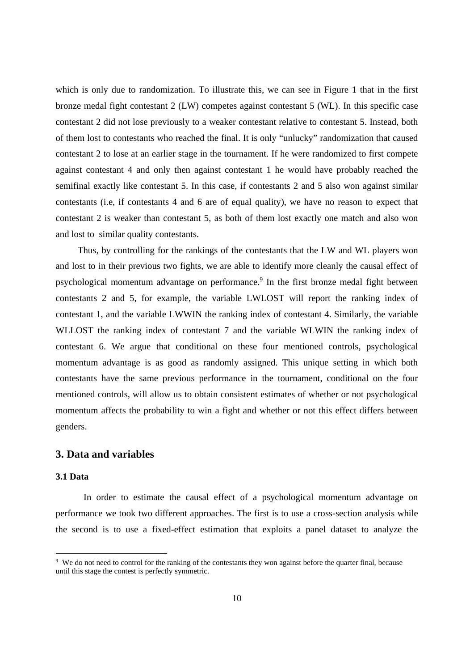which is only due to randomization. To illustrate this, we can see in Figure 1 that in the first bronze medal fight contestant 2 (LW) competes against contestant 5 (WL). In this specific case contestant 2 did not lose previously to a weaker contestant relative to contestant 5. Instead, both of them lost to contestants who reached the final. It is only "unlucky" randomization that caused contestant 2 to lose at an earlier stage in the tournament. If he were randomized to first compete against contestant 4 and only then against contestant 1 he would have probably reached the semifinal exactly like contestant 5. In this case, if contestants 2 and 5 also won against similar contestants (i.e, if contestants 4 and 6 are of equal quality), we have no reason to expect that contestant 2 is weaker than contestant 5, as both of them lost exactly one match and also won and lost to similar quality contestants.

Thus, by controlling for the rankings of the contestants that the LW and WL players won and lost to in their previous two fights, we are able to identify more cleanly the causal effect of psychological momentum advantage on performance.<sup>9</sup> In the first bronze medal fight between contestants 2 and 5, for example, the variable LWLOST will report the ranking index of contestant 1, and the variable LWWIN the ranking index of contestant 4. Similarly, the variable WLLOST the ranking index of contestant 7 and the variable WLWIN the ranking index of contestant 6. We argue that conditional on these four mentioned controls, psychological momentum advantage is as good as randomly assigned. This unique setting in which both contestants have the same previous performance in the tournament, conditional on the four mentioned controls, will allow us to obtain consistent estimates of whether or not psychological momentum affects the probability to win a fight and whether or not this effect differs between genders.

#### **3. Data and variables**

#### **3.1 Data**

-

In order to estimate the causal effect of a psychological momentum advantage on performance we took two different approaches. The first is to use a cross-section analysis while the second is to use a fixed-effect estimation that exploits a panel dataset to analyze the

<sup>&</sup>lt;sup>9</sup> We do not need to control for the ranking of the contestants they won against before the quarter final, because until this stage the contest is perfectly symmetric.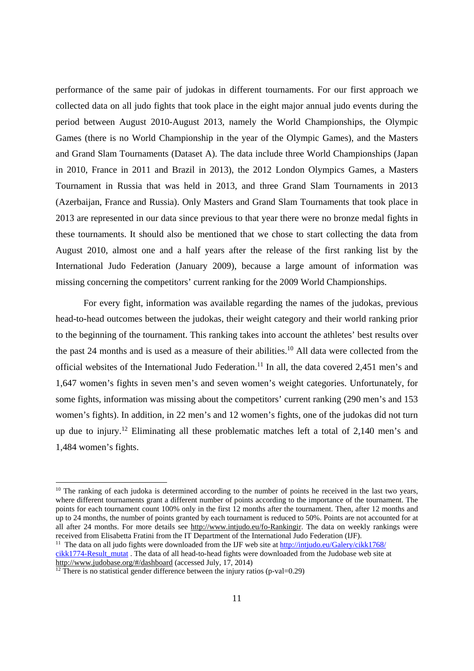performance of the same pair of judokas in different tournaments. For our first approach we collected data on all judo fights that took place in the eight major annual judo events during the period between August 2010-August 2013, namely the World Championships, the Olympic Games (there is no World Championship in the year of the Olympic Games), and the Masters and Grand Slam Tournaments (Dataset A). The data include three World Championships (Japan in 2010, France in 2011 and Brazil in 2013), the 2012 London Olympics Games, a Masters Tournament in Russia that was held in 2013, and three Grand Slam Tournaments in 2013 (Azerbaijan, France and Russia). Only Masters and Grand Slam Tournaments that took place in 2013 are represented in our data since previous to that year there were no bronze medal fights in these tournaments. It should also be mentioned that we chose to start collecting the data from August 2010, almost one and a half years after the release of the first ranking list by the International Judo Federation (January 2009), because a large amount of information was missing concerning the competitors' current ranking for the 2009 World Championships.

For every fight, information was available regarding the names of the judokas, previous head-to-head outcomes between the judokas, their weight category and their world ranking prior to the beginning of the tournament. This ranking takes into account the athletes' best results over the past 24 months and is used as a measure of their abilities.<sup>10</sup> All data were collected from the official websites of the International Judo Federation.<sup>11</sup> In all, the data covered 2,451 men's and 1,647 women's fights in seven men's and seven women's weight categories. Unfortunately, for some fights, information was missing about the competitors' current ranking (290 men's and 153 women's fights). In addition, in 22 men's and 12 women's fights, one of the judokas did not turn up due to injury.12 Eliminating all these problematic matches left a total of 2,140 men's and 1,484 women's fights.

 $10$  The ranking of each judoka is determined according to the number of points he received in the last two years, where different tournaments grant a different number of points according to the importance of the tournament. The points for each tournament count 100% only in the first 12 months after the tournament. Then, after 12 months and up to 24 months, the number of points granted by each tournament is reduced to 50%. Points are not accounted for at all after 24 months. For more details see http://www.intjudo.eu/fo-Rankingir. The data on weekly rankings were received from Elisabetta Fratini from the IT Department of the International Judo Federation (IJF).

<sup>&</sup>lt;sup>11</sup> The data on all judo fights were downloaded from the IJF web site at  $\frac{http://intjudo.eu/Galery/ckk1768/}{http://intjudo.eu/Galery/ckk1768/}$ cikk1774-Result\_mutat . The data of all head-to-head fights were downloaded from the Judobase web site at http://www.judobase.org/#/dashboard (accessed July, 17, 2014)

 $\frac{12}{12}$  There is no statistical gender difference between the injury ratios (p-val=0.29)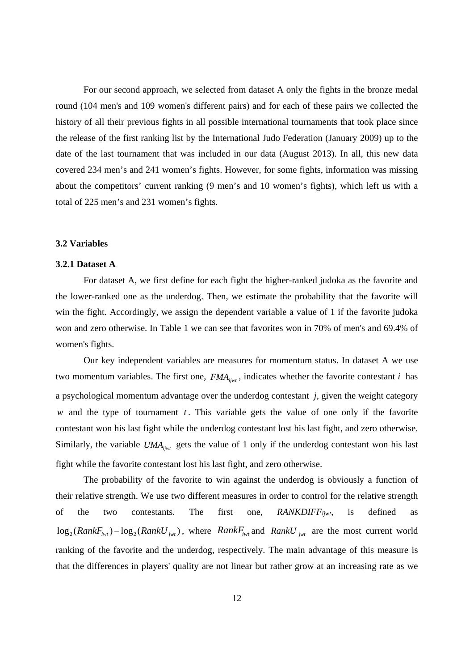For our second approach, we selected from dataset A only the fights in the bronze medal round (104 men's and 109 women's different pairs) and for each of these pairs we collected the history of all their previous fights in all possible international tournaments that took place since the release of the first ranking list by the International Judo Federation (January 2009) up to the date of the last tournament that was included in our data (August 2013). In all, this new data covered 234 men's and 241 women's fights. However, for some fights, information was missing about the competitors' current ranking (9 men's and 10 women's fights), which left us with a total of 225 men's and 231 women's fights.

#### **3.2 Variables**

#### **3.2.1 Dataset A**

For dataset A, we first define for each fight the higher-ranked judoka as the favorite and the lower-ranked one as the underdog. Then, we estimate the probability that the favorite will win the fight. Accordingly, we assign the dependent variable a value of 1 if the favorite judoka won and zero otherwise. In Table 1 we can see that favorites won in 70% of men's and 69.4% of women's fights.

Our key independent variables are measures for momentum status. In dataset A we use two momentum variables. The first one,  $FMA_{ijwt}$ , indicates whether the favorite contestant *i* has a psychological momentum advantage over the underdog contestant *j*, given the weight category  $w$  and the type of tournament  $t$ . This variable gets the value of one only if the favorite contestant won his last fight while the underdog contestant lost his last fight, and zero otherwise. Similarly, the variable  $UMA_{ijwt}$  gets the value of 1 only if the underdog contestant won his last fight while the favorite contestant lost his last fight, and zero otherwise.

The probability of the favorite to win against the underdog is obviously a function of their relative strength. We use two different measures in order to control for the relative strength of the two contestants. The first one, *RANKDIFF iiwt*, is defined  $\log_2(RankF_{iwt}) - \log_2(RankU_{iwt})$ , where  $RankF_{iwt}$  and  $RankU_{iwt}$  are the most current world ranking of the favorite and the underdog, respectively. The main advantage of this measure is that the differences in players' quality are not linear but rather grow at an increasing rate as we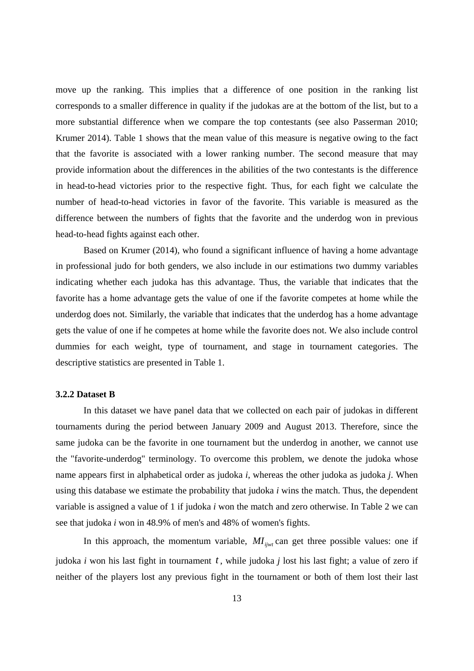move up the ranking. This implies that a difference of one position in the ranking list corresponds to a smaller difference in quality if the judokas are at the bottom of the list, but to a more substantial difference when we compare the top contestants (see also Passerman 2010; Krumer 2014). Table 1 shows that the mean value of this measure is negative owing to the fact that the favorite is associated with a lower ranking number. The second measure that may provide information about the differences in the abilities of the two contestants is the difference in head-to-head victories prior to the respective fight. Thus, for each fight we calculate the number of head-to-head victories in favor of the favorite. This variable is measured as the difference between the numbers of fights that the favorite and the underdog won in previous head-to-head fights against each other.

Based on Krumer (2014), who found a significant influence of having a home advantage in professional judo for both genders, we also include in our estimations two dummy variables indicating whether each judoka has this advantage. Thus, the variable that indicates that the favorite has a home advantage gets the value of one if the favorite competes at home while the underdog does not. Similarly, the variable that indicates that the underdog has a home advantage gets the value of one if he competes at home while the favorite does not. We also include control dummies for each weight, type of tournament, and stage in tournament categories. The descriptive statistics are presented in Table 1.

#### **3.2.2 Dataset B**

In this dataset we have panel data that we collected on each pair of judokas in different tournaments during the period between January 2009 and August 2013. Therefore, since the same judoka can be the favorite in one tournament but the underdog in another, we cannot use the "favorite-underdog" terminology. To overcome this problem, we denote the judoka whose name appears first in alphabetical order as judoka *i*, whereas the other judoka as judoka *j*. When using this database we estimate the probability that judoka *i* wins the match. Thus, the dependent variable is assigned a value of 1 if judoka *i* won the match and zero otherwise. In Table 2 we can see that judoka *i* won in 48.9% of men's and 48% of women's fights.

In this approach, the momentum variable,  $MI_{iivt}$  can get three possible values: one if judoka *i* won his last fight in tournament *t* , while judoka *j* lost his last fight; a value of zero if neither of the players lost any previous fight in the tournament or both of them lost their last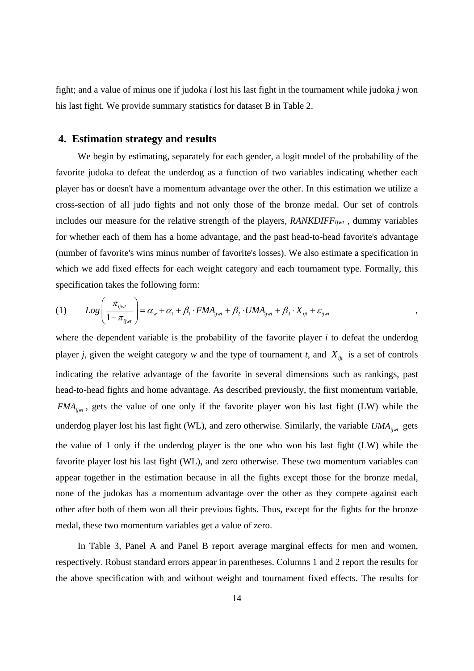fight; and a value of minus one if judoka *i* lost his last fight in the tournament while judoka *j* won his last fight. We provide summary statistics for dataset B in Table 2.

#### **4. Estimation strategy and results**

We begin by estimating, separately for each gender, a logit model of the probability of the favorite judoka to defeat the underdog as a function of two variables indicating whether each player has or doesn't have a momentum advantage over the other. In this estimation we utilize a cross-section of all judo fights and not only those of the bronze medal. Our set of controls includes our measure for the relative strength of the players, *RANKDIFFijwt* , dummy variables for whether each of them has a home advantage, and the past head-to-head favorite's advantage (number of favorite's wins minus number of favorite's losses). We also estimate a specification in which we add fixed effects for each weight category and each tournament type. Formally, this specification takes the following form:

$$
(1) \qquad Log\left(\frac{\pi_{ijwt}}{1-\pi_{ijwt}}\right) = \alpha_w + \alpha_t + \beta_1 \cdot FMA_{ijwt} + \beta_2 \cdot UMA_{ijwt} + \beta_3 \cdot X_{ijt} + \varepsilon_{ijwt},
$$

where the dependent variable is the probability of the favorite player *i* to defeat the underdog player *j*, given the weight category *w* and the type of tournament *t*, and  $X_{ijt}$  is a set of controls indicating the relative advantage of the favorite in several dimensions such as rankings, past head-to-head fights and home advantage. As described previously, the first momentum variable, *FMA<sub>ijwt</sub>*, gets the value of one only if the favorite player won his last fight (LW) while the underdog player lost his last fight (WL), and zero otherwise. Similarly, the variable *UMA*<sub>ijwt</sub> gets the value of 1 only if the underdog player is the one who won his last fight (LW) while the favorite player lost his last fight (WL), and zero otherwise. These two momentum variables can appear together in the estimation because in all the fights except those for the bronze medal, none of the judokas has a momentum advantage over the other as they compete against each other after both of them won all their previous fights. Thus, except for the fights for the bronze medal, these two momentum variables get a value of zero.

In Table 3, Panel A and Panel B report average marginal effects for men and women, respectively. Robust standard errors appear in parentheses. Columns 1 and 2 report the results for the above specification with and without weight and tournament fixed effects. The results for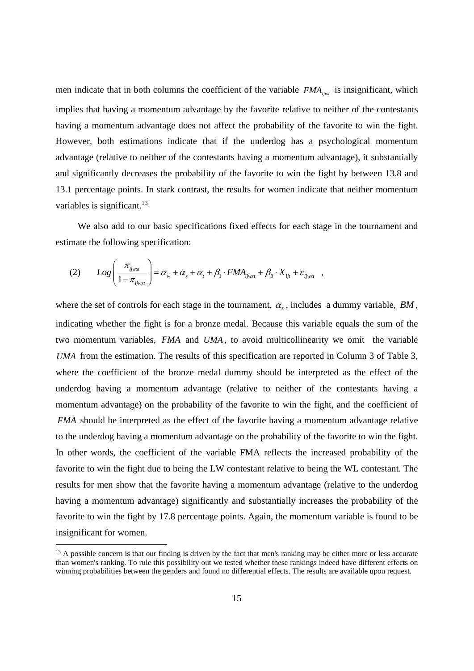men indicate that in both columns the coefficient of the variable  $FMA_{ijwt}$  is insignificant, which implies that having a momentum advantage by the favorite relative to neither of the contestants having a momentum advantage does not affect the probability of the favorite to win the fight. However, both estimations indicate that if the underdog has a psychological momentum advantage (relative to neither of the contestants having a momentum advantage), it substantially and significantly decreases the probability of the favorite to win the fight by between 13.8 and 13.1 percentage points. In stark contrast, the results for women indicate that neither momentum variables is significant.<sup>13</sup>

We also add to our basic specifications fixed effects for each stage in the tournament and estimate the following specification:

$$
(2) \qquad Log\left(\frac{\pi_{ijwst}}{1-\pi_{ijwst}}\right) = \alpha_w + \alpha_s + \alpha_t + \beta_1 \cdot FMA_{ijwst} + \beta_3 \cdot X_{ijt} + \varepsilon_{ijwst} \quad ,
$$

where the set of controls for each stage in the tournament,  $\alpha_s$ , includes a dummy variable, *BM*, indicating whether the fight is for a bronze medal. Because this variable equals the sum of the two momentum variables, *FMA* and *UMA* , to avoid multicollinearity we omit the variable *UMA* from the estimation. The results of this specification are reported in Column 3 of Table 3, where the coefficient of the bronze medal dummy should be interpreted as the effect of the underdog having a momentum advantage (relative to neither of the contestants having a momentum advantage) on the probability of the favorite to win the fight, and the coefficient of *FMA* should be interpreted as the effect of the favorite having a momentum advantage relative to the underdog having a momentum advantage on the probability of the favorite to win the fight. In other words, the coefficient of the variable FMA reflects the increased probability of the favorite to win the fight due to being the LW contestant relative to being the WL contestant. The results for men show that the favorite having a momentum advantage (relative to the underdog having a momentum advantage) significantly and substantially increases the probability of the favorite to win the fight by 17.8 percentage points. Again, the momentum variable is found to be insignificant for women.

<sup>&</sup>lt;sup>13</sup> A possible concern is that our finding is driven by the fact that men's ranking may be either more or less accurate than women's ranking. To rule this possibility out we tested whether these rankings indeed have different effects on winning probabilities between the genders and found no differential effects. The results are available upon request.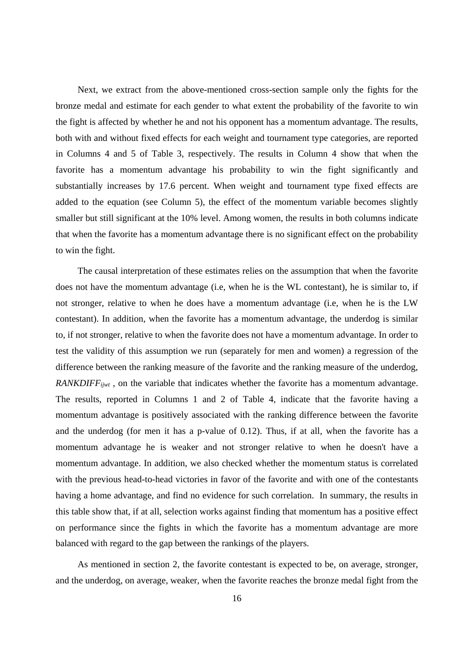Next, we extract from the above-mentioned cross-section sample only the fights for the bronze medal and estimate for each gender to what extent the probability of the favorite to win the fight is affected by whether he and not his opponent has a momentum advantage. The results, both with and without fixed effects for each weight and tournament type categories, are reported in Columns 4 and 5 of Table 3, respectively. The results in Column 4 show that when the favorite has a momentum advantage his probability to win the fight significantly and substantially increases by 17.6 percent. When weight and tournament type fixed effects are added to the equation (see Column 5), the effect of the momentum variable becomes slightly smaller but still significant at the 10% level. Among women, the results in both columns indicate that when the favorite has a momentum advantage there is no significant effect on the probability to win the fight.

The causal interpretation of these estimates relies on the assumption that when the favorite does not have the momentum advantage (i.e, when he is the WL contestant), he is similar to, if not stronger, relative to when he does have a momentum advantage (i.e, when he is the LW contestant). In addition, when the favorite has a momentum advantage, the underdog is similar to, if not stronger, relative to when the favorite does not have a momentum advantage. In order to test the validity of this assumption we run (separately for men and women) a regression of the difference between the ranking measure of the favorite and the ranking measure of the underdog, *RANKDIFF<sub>ijwt</sub>*, on the variable that indicates whether the favorite has a momentum advantage. The results, reported in Columns 1 and 2 of Table 4, indicate that the favorite having a momentum advantage is positively associated with the ranking difference between the favorite and the underdog (for men it has a p-value of 0.12). Thus, if at all, when the favorite has a momentum advantage he is weaker and not stronger relative to when he doesn't have a momentum advantage. In addition, we also checked whether the momentum status is correlated with the previous head-to-head victories in favor of the favorite and with one of the contestants having a home advantage, and find no evidence for such correlation. In summary, the results in this table show that, if at all, selection works against finding that momentum has a positive effect on performance since the fights in which the favorite has a momentum advantage are more balanced with regard to the gap between the rankings of the players.

As mentioned in section 2, the favorite contestant is expected to be, on average, stronger, and the underdog, on average, weaker, when the favorite reaches the bronze medal fight from the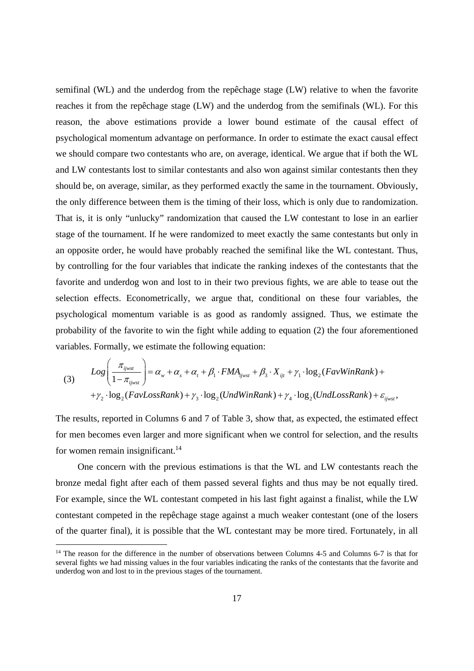semifinal (WL) and the underdog from the repêchage stage (LW) relative to when the favorite reaches it from the repêchage stage (LW) and the underdog from the semifinals (WL). For this reason, the above estimations provide a lower bound estimate of the causal effect of psychological momentum advantage on performance. In order to estimate the exact causal effect we should compare two contestants who are, on average, identical. We argue that if both the WL and LW contestants lost to similar contestants and also won against similar contestants then they should be, on average, similar, as they performed exactly the same in the tournament. Obviously, the only difference between them is the timing of their loss, which is only due to randomization. That is, it is only "unlucky" randomization that caused the LW contestant to lose in an earlier stage of the tournament. If he were randomized to meet exactly the same contestants but only in an opposite order, he would have probably reached the semifinal like the WL contestant. Thus, by controlling for the four variables that indicate the ranking indexes of the contestants that the favorite and underdog won and lost to in their two previous fights, we are able to tease out the selection effects. Econometrically, we argue that, conditional on these four variables, the psychological momentum variable is as good as randomly assigned. Thus, we estimate the probability of the favorite to win the fight while adding to equation (2) the four aforementioned variables. Formally, we estimate the following equation:

(3) 
$$
Log\left(\frac{\pi_{ijwst}}{1-\pi_{ijwst}}\right) = \alpha_w + \alpha_s + \alpha_t + \beta_1 \cdot FMA_{ijwst} + \beta_3 \cdot X_{ijt} + \gamma_1 \cdot log_2(FavWinRank) ++ \gamma_2 \cdot log_2(FavLossRank) + \gamma_3 \cdot log_2(UndWinRank) + \gamma_4 \cdot log_2(UndLossRank) + \varepsilon_{ijwst},
$$

The results, reported in Columns 6 and 7 of Table 3, show that, as expected, the estimated effect for men becomes even larger and more significant when we control for selection, and the results for women remain insignificant.<sup>14</sup>

One concern with the previous estimations is that the WL and LW contestants reach the bronze medal fight after each of them passed several fights and thus may be not equally tired. For example, since the WL contestant competed in his last fight against a finalist, while the LW contestant competed in the repêchage stage against a much weaker contestant (one of the losers of the quarter final), it is possible that the WL contestant may be more tired. Fortunately, in all

<sup>&</sup>lt;sup>14</sup> The reason for the difference in the number of observations between Columns 4-5 and Columns 6-7 is that for several fights we had missing values in the four variables indicating the ranks of the contestants that the favorite and underdog won and lost to in the previous stages of the tournament.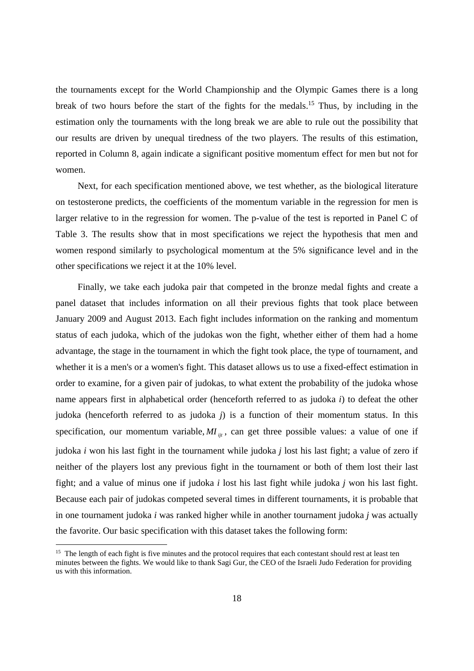the tournaments except for the World Championship and the Olympic Games there is a long break of two hours before the start of the fights for the medals.15 Thus, by including in the estimation only the tournaments with the long break we are able to rule out the possibility that our results are driven by unequal tiredness of the two players. The results of this estimation, reported in Column 8, again indicate a significant positive momentum effect for men but not for women.

Next, for each specification mentioned above, we test whether, as the biological literature on testosterone predicts, the coefficients of the momentum variable in the regression for men is larger relative to in the regression for women. The p-value of the test is reported in Panel C of Table 3. The results show that in most specifications we reject the hypothesis that men and women respond similarly to psychological momentum at the 5% significance level and in the other specifications we reject it at the 10% level.

Finally, we take each judoka pair that competed in the bronze medal fights and create a panel dataset that includes information on all their previous fights that took place between January 2009 and August 2013. Each fight includes information on the ranking and momentum status of each judoka, which of the judokas won the fight, whether either of them had a home advantage, the stage in the tournament in which the fight took place, the type of tournament, and whether it is a men's or a women's fight. This dataset allows us to use a fixed-effect estimation in order to examine, for a given pair of judokas, to what extent the probability of the judoka whose name appears first in alphabetical order (henceforth referred to as judoka *i*) to defeat the other judoka (henceforth referred to as judoka *j*) is a function of their momentum status. In this specification, our momentum variable,  $MI_{ij}$ , can get three possible values: a value of one if judoka *i* won his last fight in the tournament while judoka *j* lost his last fight; a value of zero if neither of the players lost any previous fight in the tournament or both of them lost their last fight; and a value of minus one if judoka *i* lost his last fight while judoka *j* won his last fight. Because each pair of judokas competed several times in different tournaments, it is probable that in one tournament judoka *i* was ranked higher while in another tournament judoka *j* was actually the favorite. Our basic specification with this dataset takes the following form:

<sup>&</sup>lt;sup>15</sup> The length of each fight is five minutes and the protocol requires that each contestant should rest at least ten minutes between the fights. We would like to thank Sagi Gur, the CEO of the Israeli Judo Federation for providing us with this information.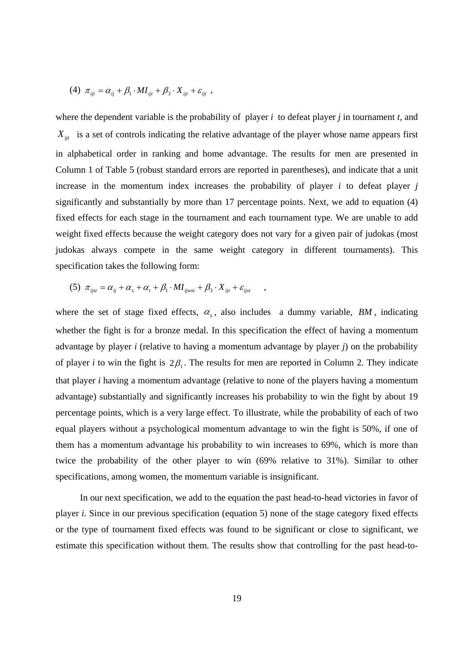(4) 
$$
\pi_{ijt} = \alpha_{ij} + \beta_1 \cdot MI_{ijt} + \beta_3 \cdot X_{ijt} + \varepsilon_{ijt} ,
$$

where the dependent variable is the probability of player *i* to defeat player *j* in tournament *t,* and  $X_{ij}$  is a set of controls indicating the relative advantage of the player whose name appears first in alphabetical order in ranking and home advantage. The results for men are presented in Column 1 of Table 5 (robust standard errors are reported in parentheses), and indicate that a unit increase in the momentum index increases the probability of player  $i$  to defeat player  $j$ significantly and substantially by more than 17 percentage points. Next, we add to equation (4) fixed effects for each stage in the tournament and each tournament type. We are unable to add weight fixed effects because the weight category does not vary for a given pair of judokas (most judokas always compete in the same weight category in different tournaments). This specification takes the following form:

(5) 
$$
\pi_{ijst} = \alpha_{ij} + \alpha_s + \alpha_t + \beta_1 \cdot MI_{ijwst} + \beta_3 \cdot X_{ijt} + \varepsilon_{ijst} ,
$$

where the set of stage fixed effects,  $\alpha_s$ , also includes a dummy variable, *BM*, indicating whether the fight is for a bronze medal. In this specification the effect of having a momentum advantage by player *i* (relative to having a momentum advantage by player *j*) on the probability of player *i* to win the fight is  $2\beta_1$ . The results for men are reported in Column 2. They indicate that player *i* having a momentum advantage (relative to none of the players having a momentum advantage) substantially and significantly increases his probability to win the fight by about 19 percentage points, which is a very large effect. To illustrate, while the probability of each of two equal players without a psychological momentum advantage to win the fight is 50%, if one of them has a momentum advantage his probability to win increases to 69%, which is more than twice the probability of the other player to win (69% relative to 31%). Similar to other specifications, among women, the momentum variable is insignificant.

 In our next specification, we add to the equation the past head-to-head victories in favor of player *i*. Since in our previous specification (equation 5) none of the stage category fixed effects or the type of tournament fixed effects was found to be significant or close to significant, we estimate this specification without them. The results show that controlling for the past head-to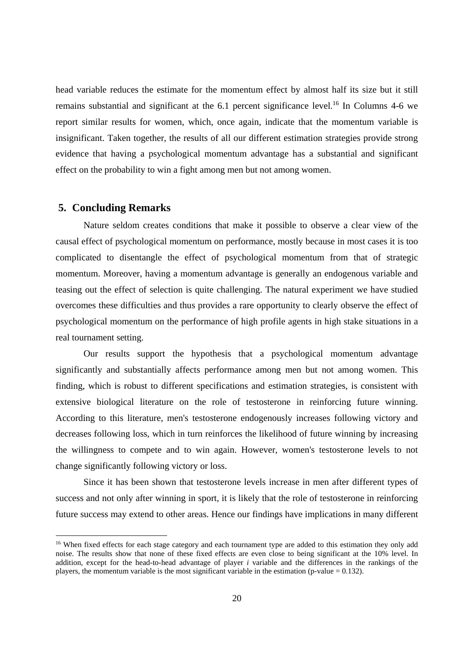head variable reduces the estimate for the momentum effect by almost half its size but it still remains substantial and significant at the 6.1 percent significance level.16 In Columns 4-6 we report similar results for women, which, once again, indicate that the momentum variable is insignificant. Taken together, the results of all our different estimation strategies provide strong evidence that having a psychological momentum advantage has a substantial and significant effect on the probability to win a fight among men but not among women.

#### **5. Concluding Remarks**

-

Nature seldom creates conditions that make it possible to observe a clear view of the causal effect of psychological momentum on performance, mostly because in most cases it is too complicated to disentangle the effect of psychological momentum from that of strategic momentum. Moreover, having a momentum advantage is generally an endogenous variable and teasing out the effect of selection is quite challenging. The natural experiment we have studied overcomes these difficulties and thus provides a rare opportunity to clearly observe the effect of psychological momentum on the performance of high profile agents in high stake situations in a real tournament setting.

Our results support the hypothesis that a psychological momentum advantage significantly and substantially affects performance among men but not among women. This finding, which is robust to different specifications and estimation strategies, is consistent with extensive biological literature on the role of testosterone in reinforcing future winning. According to this literature, men's testosterone endogenously increases following victory and decreases following loss, which in turn reinforces the likelihood of future winning by increasing the willingness to compete and to win again. However, women's testosterone levels to not change significantly following victory or loss.

Since it has been shown that testosterone levels increase in men after different types of success and not only after winning in sport, it is likely that the role of testosterone in reinforcing future success may extend to other areas. Hence our findings have implications in many different

<sup>&</sup>lt;sup>16</sup> When fixed effects for each stage category and each tournament type are added to this estimation they only add noise. The results show that none of these fixed effects are even close to being significant at the 10% level. In addition, except for the head-to-head advantage of player *i* variable and the differences in the rankings of the players, the momentum variable is the most significant variable in the estimation (p-value  $= 0.132$ ).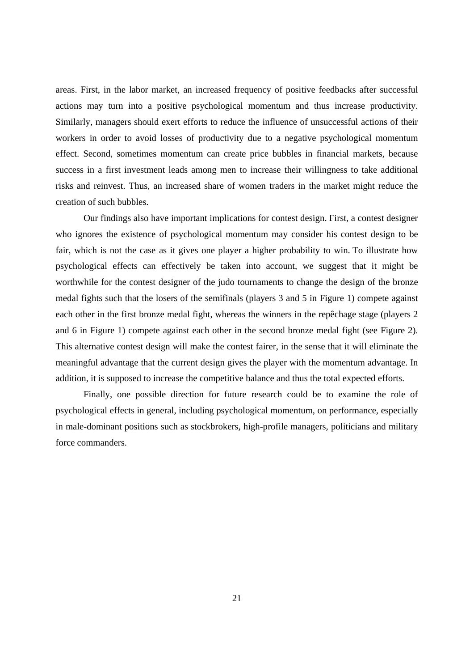areas. First, in the labor market, an increased frequency of positive feedbacks after successful actions may turn into a positive psychological momentum and thus increase productivity. Similarly, managers should exert efforts to reduce the influence of unsuccessful actions of their workers in order to avoid losses of productivity due to a negative psychological momentum effect. Second, sometimes momentum can create price bubbles in financial markets, because success in a first investment leads among men to increase their willingness to take additional risks and reinvest. Thus, an increased share of women traders in the market might reduce the creation of such bubbles.

Our findings also have important implications for contest design. First, a contest designer who ignores the existence of psychological momentum may consider his contest design to be fair, which is not the case as it gives one player a higher probability to win. To illustrate how psychological effects can effectively be taken into account, we suggest that it might be worthwhile for the contest designer of the judo tournaments to change the design of the bronze medal fights such that the losers of the semifinals (players 3 and 5 in Figure 1) compete against each other in the first bronze medal fight, whereas the winners in the repêchage stage (players 2 and 6 in Figure 1) compete against each other in the second bronze medal fight (see Figure 2). This alternative contest design will make the contest fairer, in the sense that it will eliminate the meaningful advantage that the current design gives the player with the momentum advantage. In addition, it is supposed to increase the competitive balance and thus the total expected efforts.

Finally, one possible direction for future research could be to examine the role of psychological effects in general, including psychological momentum, on performance, especially in male-dominant positions such as stockbrokers, high-profile managers, politicians and military force commanders.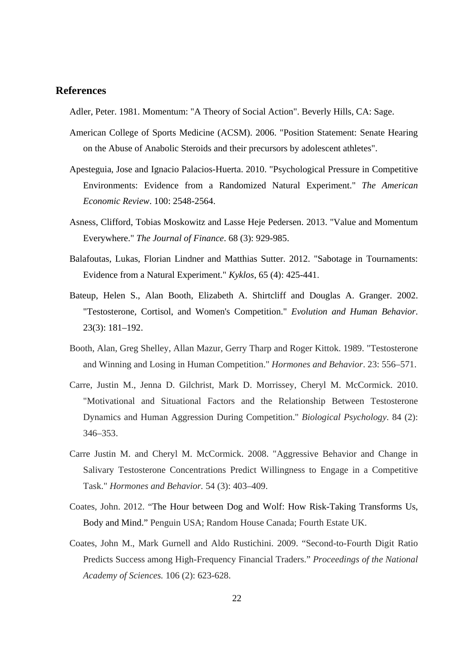#### **References**

Adler, Peter. 1981. Momentum: "A Theory of Social Action". Beverly Hills, CA: Sage.

- American College of Sports Medicine (ACSM). 2006. "Position Statement: Senate Hearing on the Abuse of Anabolic Steroids and their precursors by adolescent athletes".
- Apesteguia, Jose and Ignacio Palacios-Huerta. 2010. "Psychological Pressure in Competitive Environments: Evidence from a Randomized Natural Experiment." *The American Economic Review*. 100: 2548-2564.
- Asness, Clifford, Tobias Moskowitz and Lasse Heje Pedersen. 2013. "Value and Momentum Everywhere." *The Journal of Finance*. 68 (3): 929-985.
- Balafoutas, Lukas, Florian Lindner and Matthias Sutter. 2012. "Sabotage in Tournaments: Evidence from a Natural Experiment." *Kyklos*, 65 (4): 425-441.
- Bateup, Helen S., Alan Booth, Elizabeth A. Shirtcliff and Douglas A. Granger. 2002. "Testosterone, Cortisol, and Women's Competition." *Evolution and Human Behavior*. 23(3): 181–192.
- Booth, Alan, Greg Shelley, Allan Mazur, Gerry Tharp and Roger Kittok. 1989. "Testosterone and Winning and Losing in Human Competition." *Hormones and Behavior*. 23: 556–571.
- Carre, Justin M., Jenna D. Gilchrist, Mark D. Morrissey, Cheryl M. McCormick. 2010. "Motivational and Situational Factors and the Relationship Between Testosterone Dynamics and Human Aggression During Competition." *Biological Psychology*. 84 (2): 346–353.
- Carre Justin M. and Cheryl M. McCormick. 2008. "Aggressive Behavior and Change in Salivary Testosterone Concentrations Predict Willingness to Engage in a Competitive Task." *Hormones and Behavior.* 54 (3): 403–409.
- Coates, John. 2012. "The Hour between Dog and Wolf: How Risk-Taking Transforms Us, Body and Mind." Penguin USA; Random House Canada; Fourth Estate UK.
- Coates, John M., Mark Gurnell and Aldo Rustichini. 2009. "Second-to-Fourth Digit Ratio Predicts Success among High-Frequency Financial Traders." *Proceedings of the National Academy of Sciences.* 106 (2): 623-628.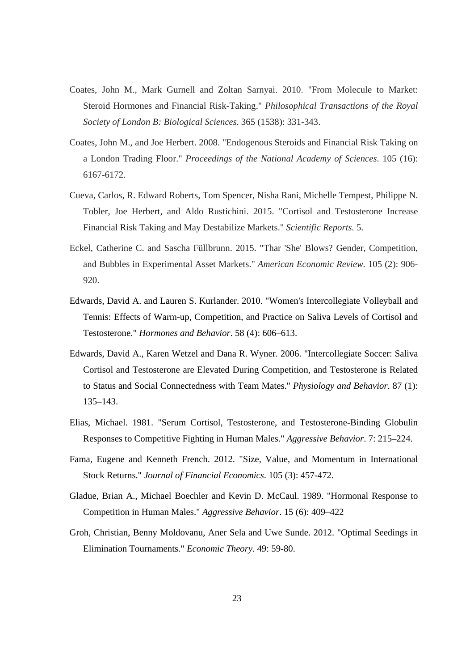- Coates, John M., Mark Gurnell and Zoltan Sarnyai. 2010. "From Molecule to Market: Steroid Hormones and Financial Risk-Taking." *Philosophical Transactions of the Royal Society of London B: Biological Sciences.* 365 (1538): 331-343.
- Coates, John M., and Joe Herbert. 2008. "Endogenous Steroids and Financial Risk Taking on a London Trading Floor." *Proceedings of the National Academy of Sciences*. 105 (16): 6167-6172.
- Cueva, Carlos, R. Edward Roberts, Tom Spencer, Nisha Rani, Michelle Tempest, Philippe N. Tobler, Joe Herbert, and Aldo Rustichini. 2015. "Cortisol and Testosterone Increase Financial Risk Taking and May Destabilize Markets." *Scientific Reports.* 5.
- Eckel, Catherine C. and Sascha Füllbrunn. 2015. "Thar 'She' Blows? Gender, Competition, and Bubbles in Experimental Asset Markets." *American Economic Review.* 105 (2): 906- 920.
- Edwards, David A. and Lauren S. Kurlander. 2010. "Women's Intercollegiate Volleyball and Tennis: Effects of Warm-up, Competition, and Practice on Saliva Levels of Cortisol and Testosterone." *Hormones and Behavior*. 58 (4): 606–613.
- Edwards, David A., Karen Wetzel and Dana R. Wyner. 2006. "Intercollegiate Soccer: Saliva Cortisol and Testosterone are Elevated During Competition, and Testosterone is Related to Status and Social Connectedness with Team Mates." *Physiology and Behavior*. 87 (1): 135–143.
- Elias, Michael. 1981. "Serum Cortisol, Testosterone, and Testosterone-Binding Globulin Responses to Competitive Fighting in Human Males." *Aggressive Behavior*. 7: 215–224.
- Fama, Eugene and Kenneth French. 2012. "Size, Value, and Momentum in International Stock Returns." *Journal of Financial Economics*. 105 (3): 457-472.
- Gladue, Brian A., Michael Boechler and Kevin D. McCaul. 1989. "Hormonal Response to Competition in Human Males." *Aggressive Behavior*. 15 (6): 409–422
- Groh, Christian, Benny Moldovanu, Aner Sela and Uwe Sunde. 2012. "Optimal Seedings in Elimination Tournaments." *Economic Theory*. 49: 59-80.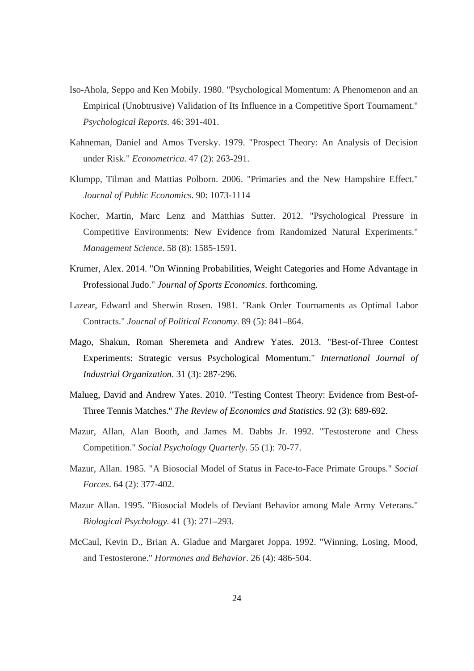- Iso-Ahola, Seppo and Ken Mobily. 1980. "Psychological Momentum: A Phenomenon and an Empirical (Unobtrusive) Validation of Its Influence in a Competitive Sport Tournament." *Psychological Reports*. 46: 391-401.
- Kahneman, Daniel and Amos Tversky. 1979. "Prospect Theory: An Analysis of Decision under Risk." *Econometrica*. 47 (2): 263-291.
- Klumpp, Tilman and Mattias Polborn. 2006. "Primaries and the New Hampshire Effect." *Journal of Public Economics*. 90: 1073-1114
- Kocher, Martin, Marc Lenz and Matthias Sutter. 2012. "Psychological Pressure in Competitive Environments: New Evidence from Randomized Natural Experiments." *Management Science*. 58 (8): 1585-1591.
- Krumer, Alex. 2014. "On Winning Probabilities, Weight Categories and Home Advantage in Professional Judo." *Journal of Sports Economics*. forthcoming.
- Lazear, Edward and Sherwin Rosen. 1981. "Rank Order Tournaments as Optimal Labor Contracts." *Journal of Political Economy*. 89 (5): 841–864.
- Mago, Shakun, Roman Sheremeta and Andrew Yates. 2013. "Best-of-Three Contest Experiments: Strategic versus Psychological Momentum." *International Journal of Industrial Organization*. 31 (3): 287-296.
- Malueg, David and Andrew Yates. 2010. "Testing Contest Theory: Evidence from Best-of-Three Tennis Matches." *The Review of Economics and Statistics*. 92 (3): 689-692.
- Mazur, Allan, Alan Booth, and James M. Dabbs Jr. 1992. "Testosterone and Chess Competition." *Social Psychology Quarterly*. 55 (1): 70-77.
- Mazur, Allan. 1985. "A Biosocial Model of Status in Face-to-Face Primate Groups." *Social Forces*. 64 (2): 377-402.
- Mazur Allan. 1995. "Biosocial Models of Deviant Behavior among Male Army Veterans." *Biological Psychology.* 41 (3): 271–293.
- McCaul, Kevin D., Brian A. Gladue and Margaret Joppa. 1992. "Winning, Losing, Mood, and Testosterone." *Hormones and Behavior*. 26 (4): 486-504.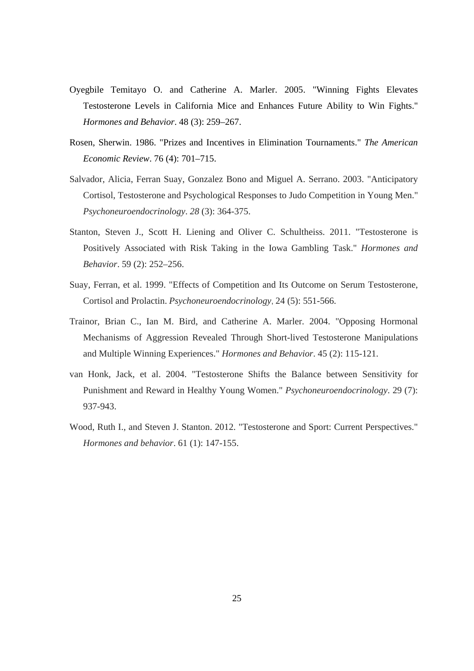- Oyegbile Temitayo O. and Catherine A. Marler. 2005. "Winning Fights Elevates Testosterone Levels in California Mice and Enhances Future Ability to Win Fights." *Hormones and Behavior*. 48 (3): 259–267.
- Rosen, Sherwin. 1986. "Prizes and Incentives in Elimination Tournaments." *The American Economic Review*. 76 (4): 701–715.
- Salvador, Alicia, Ferran Suay, Gonzalez Bono and Miguel A. Serrano. 2003. "Anticipatory Cortisol, Testosterone and Psychological Responses to Judo Competition in Young Men." *Psychoneuroendocrinology*. *28* (3): 364-375.
- Stanton, Steven J., Scott H. Liening and Oliver C. Schultheiss. 2011. "Testosterone is Positively Associated with Risk Taking in the Iowa Gambling Task." *Hormones and Behavior*. 59 (2): 252–256.
- Suay, Ferran, et al. 1999. "Effects of Competition and Its Outcome on Serum Testosterone, Cortisol and Prolactin. *Psychoneuroendocrinology*, 24 (5): 551-566.
- Trainor, Brian C., Ian M. Bird, and Catherine A. Marler. 2004. "Opposing Hormonal Mechanisms of Aggression Revealed Through Short-lived Testosterone Manipulations and Multiple Winning Experiences." *Hormones and Behavior*. 45 (2): 115-121.
- van Honk, Jack, et al. 2004. "Testosterone Shifts the Balance between Sensitivity for Punishment and Reward in Healthy Young Women." *Psychoneuroendocrinology*. 29 (7): 937-943.
- Wood, Ruth I., and Steven J. Stanton. 2012. "Testosterone and Sport: Current Perspectives." *Hormones and behavior*. 61 (1): 147-155.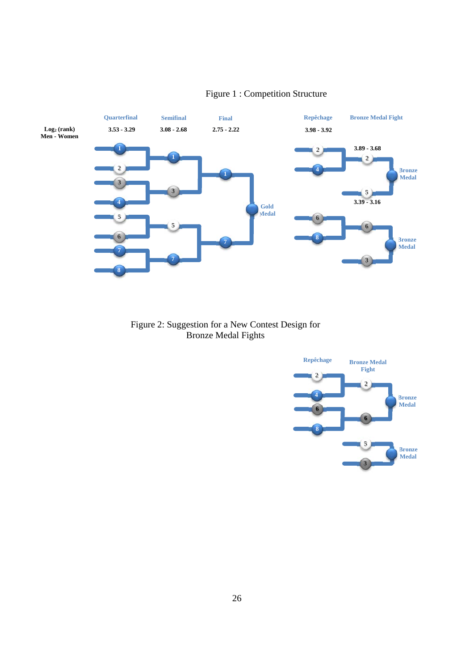

### Figure 1 : Competition Structure

Figure 2: Suggestion for a New Contest Design for Bronze Medal Fights

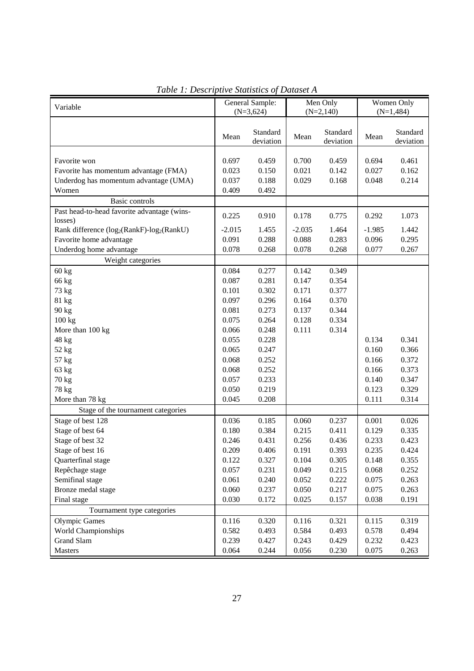| Variable                                                           | General Sample: |                       | Men Only    |                       | Women Only   |                       |
|--------------------------------------------------------------------|-----------------|-----------------------|-------------|-----------------------|--------------|-----------------------|
|                                                                    | $(N=3,624)$     |                       | $(N=2,140)$ |                       | $(N=1, 484)$ |                       |
|                                                                    | Mean            | Standard<br>deviation | Mean        | Standard<br>deviation | Mean         | Standard<br>deviation |
| Favorite won                                                       | 0.697           | 0.459                 | 0.700       | 0.459                 | 0.694        | 0.461                 |
| Favorite has momentum advantage (FMA)                              | 0.023           | 0.150                 | 0.021       | 0.142                 | 0.027        | 0.162                 |
| Underdog has momentum advantage (UMA)                              | 0.037           | 0.188                 | 0.029       | 0.168                 | 0.048        | 0.214                 |
| Women                                                              | 0.409           | 0.492                 |             |                       |              |                       |
| Basic controls                                                     |                 |                       |             |                       |              |                       |
| Past head-to-head favorite advantage (wins-                        |                 |                       |             |                       |              |                       |
| losses)                                                            | 0.225           | 0.910                 | 0.178       | 0.775                 | 0.292        | 1.073                 |
| Rank difference (log <sub>2</sub> (RankF)-log <sub>2</sub> (RankU) | $-2.015$        | 1.455                 | $-2.035$    | 1.464                 | $-1.985$     | 1.442                 |
| Favorite home advantage                                            | 0.091           | 0.288                 | 0.088       | 0.283                 | 0.096        | 0.295                 |
| Underdog home advantage                                            | 0.078           | 0.268                 | 0.078       | 0.268                 | 0.077        | 0.267                 |
| Weight categories                                                  |                 |                       |             |                       |              |                       |
| 60 kg                                                              | 0.084           | 0.277                 | 0.142       | 0.349                 |              |                       |
| 66 kg                                                              | 0.087           | 0.281                 | 0.147       | 0.354                 |              |                       |
| 73 kg                                                              | 0.101           | 0.302                 | 0.171       | 0.377                 |              |                       |
| 81 kg                                                              | 0.097           | 0.296                 | 0.164       | 0.370                 |              |                       |
| 90 kg                                                              | 0.081           | 0.273                 | 0.137       | 0.344                 |              |                       |
| 100 kg                                                             | 0.075           | 0.264                 | 0.128       | 0.334                 |              |                       |
| More than 100 kg                                                   | 0.066           | 0.248                 | 0.111       | 0.314                 |              |                       |
| 48 kg                                                              | 0.055           | 0.228                 |             |                       | 0.134        | 0.341                 |
| 52 kg                                                              | 0.065           | 0.247                 |             |                       | 0.160        | 0.366                 |
| 57 kg                                                              | 0.068           | 0.252                 |             |                       | 0.166        | 0.372                 |
| 63 kg                                                              | 0.068           | 0.252                 |             |                       | 0.166        | 0.373                 |
| 70 kg                                                              | 0.057           | 0.233                 |             |                       | 0.140        | 0.347                 |
| 78 kg                                                              | 0.050           | 0.219                 |             |                       | 0.123        | 0.329                 |
| More than 78 kg                                                    | 0.045           | 0.208                 |             |                       | 0.111        | 0.314                 |
| Stage of the tournament categories                                 |                 |                       |             |                       |              |                       |
| Stage of best 128                                                  | 0.036           | 0.185                 | 0.060       | 0.237                 | 0.001        | 0.026                 |
| Stage of best 64                                                   | 0.180           | 0.384                 | 0.215       | 0.411                 | 0.129        | 0.335                 |
| Stage of best 32                                                   | 0.246           | 0.431                 | 0.256       | 0.436                 | 0.233        | 0.423                 |
| Stage of best 16                                                   | 0.209           | 0.406                 | 0.191       | 0.393                 | 0.235        | 0.424                 |
| Quarterfinal stage                                                 | 0.122           | 0.327                 | 0.104       | 0.305                 | 0.148        | 0.355                 |
| Repêchage stage                                                    | 0.057           | 0.231                 | 0.049       | 0.215                 | 0.068        | 0.252                 |
| Semifinal stage                                                    | 0.061           | 0.240                 | 0.052       | 0.222                 | 0.075        | 0.263                 |
| Bronze medal stage                                                 | 0.060           | 0.237                 | 0.050       | 0.217                 | 0.075        | 0.263                 |
| Final stage                                                        | 0.030           | 0.172                 | 0.025       | 0.157                 | 0.038        | 0.191                 |
| Tournament type categories                                         |                 |                       |             |                       |              |                       |
| <b>Olympic Games</b>                                               | 0.116           | 0.320                 | 0.116       | 0.321                 | 0.115        | 0.319                 |
| World Championships                                                | 0.582           | 0.493                 | 0.584       | 0.493                 | 0.578        | 0.494                 |
| Grand Slam                                                         | 0.239           | 0.427                 | 0.243       | 0.429                 | 0.232        | 0.423                 |
| Masters                                                            | 0.064           | 0.244                 | 0.056       | 0.230                 | 0.075        | 0.263                 |

| Table 1: Descriptive Statistics of Dataset A |  |
|----------------------------------------------|--|
|----------------------------------------------|--|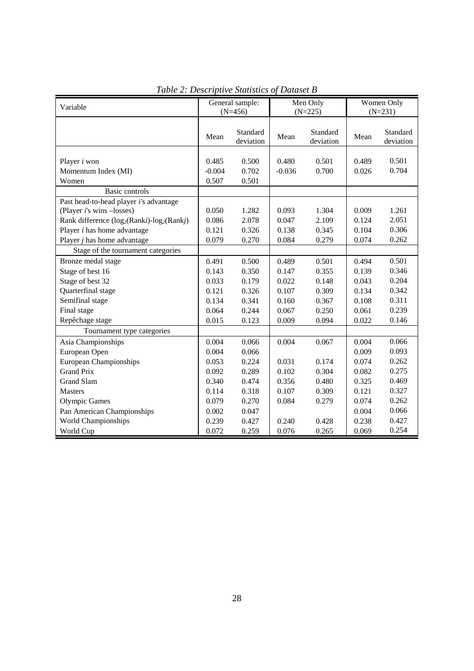| Variable                                                                                                                                          | General sample:            |                         | Men Only          |                       | Women Only     |                       |
|---------------------------------------------------------------------------------------------------------------------------------------------------|----------------------------|-------------------------|-------------------|-----------------------|----------------|-----------------------|
|                                                                                                                                                   |                            | $(N=456)$               |                   | $(N=225)$             | $(N=231)$      |                       |
|                                                                                                                                                   | Mean                       | Standard<br>deviation   | Mean              | Standard<br>deviation | Mean           | Standard<br>deviation |
| Player <i>i</i> won<br>Momentum Index (MI)<br>Women                                                                                               | 0.485<br>$-0.004$<br>0.507 | 0.500<br>0.702<br>0.501 | 0.480<br>$-0.036$ | 0.501<br>0.700        | 0.489<br>0.026 | 0.501<br>0.704        |
| Basic controls                                                                                                                                    |                            |                         |                   |                       |                |                       |
| Past head-to-head player i's advantage<br>(Player <i>i</i> 's wins -losses)<br>Rank difference (log <sub>2</sub> (Ranki)-log <sub>2</sub> (Rankj) | 0.050<br>0.086             | 1.282<br>2.078          | 0.093<br>0.047    | 1.304<br>2.109        | 0.009<br>0.124 | 1.261<br>2.051        |
| Player <i>i</i> has home advantage                                                                                                                | 0.121                      | 0.326                   | 0.138             | 0.345                 | 0.104          | 0.306                 |
| Player $j$ has home advantage                                                                                                                     | 0.079                      | 0.270                   | 0.084             | 0.279                 | 0.074          | 0.262                 |
| Stage of the tournament categories                                                                                                                |                            |                         |                   |                       |                |                       |
| Bronze medal stage                                                                                                                                | 0.491                      | 0.500                   | 0.489             | 0.501                 | 0.494          | 0.501                 |
| Stage of best 16                                                                                                                                  | 0.143                      | 0.350                   | 0.147             | 0.355                 | 0.139          | 0.346                 |
| Stage of best 32                                                                                                                                  | 0.033                      | 0.179                   | 0.022             | 0.148                 | 0.043          | 0.204                 |
| Quarterfinal stage                                                                                                                                | 0.121                      | 0.326                   | 0.107             | 0.309                 | 0.134          | 0.342                 |
| Semifinal stage                                                                                                                                   | 0.134                      | 0.341                   | 0.160             | 0.367                 | 0.108          | 0.311                 |
| Final stage                                                                                                                                       | 0.064                      | 0.244                   | 0.067             | 0.250                 | 0.061          | 0.239                 |
| Repêchage stage                                                                                                                                   | 0.015                      | 0.123                   | 0.009             | 0.094                 | 0.022          | 0.146                 |
| Tournament type categories                                                                                                                        |                            |                         |                   |                       |                |                       |
| Asia Championships                                                                                                                                | 0.004                      | 0.066                   | 0.004             | 0.067                 | 0.004          | 0.066                 |
| European Open                                                                                                                                     | 0.004                      | 0.066                   |                   |                       | 0.009          | 0.093                 |
| <b>European Championships</b>                                                                                                                     | 0.053                      | 0.224                   | 0.031             | 0.174                 | 0.074          | 0.262                 |
| <b>Grand Prix</b>                                                                                                                                 | 0.092                      | 0.289                   | 0.102             | 0.304                 | 0.082          | 0.275                 |
| <b>Grand Slam</b>                                                                                                                                 | 0.340                      | 0.474                   | 0.356             | 0.480                 | 0.325          | 0.469                 |
| Masters                                                                                                                                           | 0.114                      | 0.318                   | 0.107             | 0.309                 | 0.121          | 0.327                 |
| <b>Olympic Games</b>                                                                                                                              | 0.079                      | 0.270                   | 0.084             | 0.279                 | 0.074          | 0.262                 |
| Pan American Championships                                                                                                                        | 0.002                      | 0.047                   |                   |                       | 0.004          | 0.066                 |
| World Championships                                                                                                                               | 0.239                      | 0.427                   | 0.240             | 0.428                 | 0.238          | 0.427                 |
| World Cup                                                                                                                                         | 0.072                      | 0.259                   | 0.076             | 0.265                 | 0.069          | 0.254                 |

*Table 2: Descriptive Statistics of Dataset B*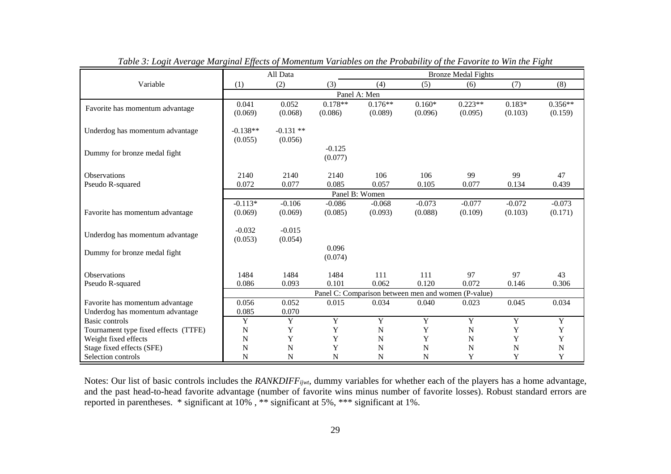|                                      | All Data                                            |             |             | <b>Bronze Medal Fights</b> |             |             |             |             |
|--------------------------------------|-----------------------------------------------------|-------------|-------------|----------------------------|-------------|-------------|-------------|-------------|
| Variable                             | (1)                                                 | (2)         | (3)         | (4)                        | (5)         | (6)         | (7)         | (8)         |
|                                      | Panel A: Men                                        |             |             |                            |             |             |             |             |
|                                      | 0.041                                               | 0.052       | $0.178**$   | $0.176**$                  | $0.160*$    | $0.223**$   | $0.183*$    | $0.356**$   |
| Favorite has momentum advantage      | (0.069)                                             | (0.068)     | (0.086)     | (0.089)                    | (0.096)     | (0.095)     | (0.103)     | (0.159)     |
|                                      |                                                     |             |             |                            |             |             |             |             |
| Underdog has momentum advantage      | $-0.138**$                                          | $-0.131$ ** |             |                            |             |             |             |             |
|                                      | (0.055)                                             | (0.056)     |             |                            |             |             |             |             |
| Dummy for bronze medal fight         |                                                     |             | $-0.125$    |                            |             |             |             |             |
|                                      |                                                     |             | (0.077)     |                            |             |             |             |             |
| <b>Observations</b>                  | 2140                                                | 2140        | 2140        | 106                        | 106         | 99          | 99          | 47          |
| Pseudo R-squared                     | 0.072                                               | 0.077       | 0.085       | 0.057                      | 0.105       | 0.077       | 0.134       | 0.439       |
|                                      |                                                     |             |             | Panel B: Women             |             |             |             |             |
|                                      | $-0.113*$                                           | $-0.106$    | $-0.086$    | $-0.068$                   | $-0.073$    | $-0.077$    | $-0.072$    | $-0.073$    |
| Favorite has momentum advantage      | (0.069)                                             | (0.069)     | (0.085)     | (0.093)                    | (0.088)     | (0.109)     | (0.103)     | (0.171)     |
|                                      |                                                     |             |             |                            |             |             |             |             |
|                                      | $-0.032$                                            | $-0.015$    |             |                            |             |             |             |             |
| Underdog has momentum advantage      | (0.053)                                             | (0.054)     |             |                            |             |             |             |             |
| Dummy for bronze medal fight         |                                                     |             | 0.096       |                            |             |             |             |             |
|                                      |                                                     |             | (0.074)     |                            |             |             |             |             |
|                                      |                                                     |             |             |                            |             |             |             |             |
| Observations                         | 1484                                                | 1484        | 1484        | 111                        | 111         | 97          | 97          | 43          |
| Pseudo R-squared                     | 0.086                                               | 0.093       | 0.101       | 0.062                      | 0.120       | 0.072       | 0.146       | 0.306       |
|                                      | Panel C: Comparison between men and women (P-value) |             |             |                            |             |             |             |             |
| Favorite has momentum advantage      | 0.056                                               | 0.052       | 0.015       | 0.034                      | 0.040       | 0.023       | 0.045       | 0.034       |
| Underdog has momentum advantage      | 0.085                                               | 0.070       |             |                            |             |             |             |             |
| Basic controls                       | Y                                                   | $\mathbf Y$ | $\mathbf Y$ | $\mathbf Y$                | $\mathbf Y$ | $\mathbf Y$ | $\mathbf Y$ | $\mathbf Y$ |
| Tournament type fixed effects (TTFE) | N                                                   | Y           | Y           | ${\bf N}$                  | Y           | ${\bf N}$   | Y           | Y           |
| Weight fixed effects                 | N                                                   | Y           | Y           | N                          | Y           | $\mathbf N$ | Y           | Y           |
| Stage fixed effects (SFE)            | N                                                   | N           | Y           | N                          | $\mathbf N$ | N           | N           | N           |
| Selection controls                   | N                                                   | N           | N           | N                          | N           | Y           | Y           | Y           |

*Table 3: Logit Average Marginal Effects of Momentum Variables on the Probability of the Favorite to Win the Fight* 

Notes: Our list of basic controls includes the *RANKDIFFijwt*, dummy variables for whether each of the players has a home advantage, and the past head-to-head favorite advantage (number of favorite wins minus number of favorite losses). Robust standard errors are reported in parentheses. \* significant at 10% , \*\* significant at 5%, \*\*\* significant at 1%.